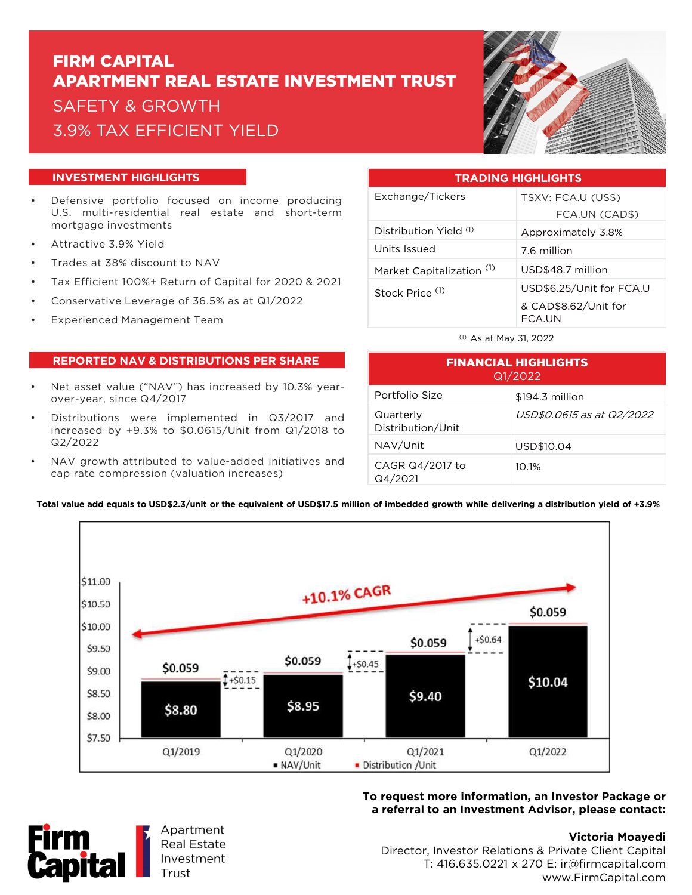# FIRM CAPITAL APARTMENT REAL ESTATE INVESTMENT TRUST SAFETY & GROWTH 3.9% TAX EFFICIENT YIELD



### **INVESTMENT HIGHLIGHTS**

- Defensive portfolio focused on income producing U.S. multi-residential real estate and short-term mortgage investments
- Attractive 3.9% Yield
- Trades at 38% discount to NAV
- Tax Efficient 100%+ Return of Capital for 2020 & 2021
- Conservative Leverage of 36.5% as at Q1/2022
- Experienced Management Team

#### **REPORTED NAV & DISTRIBUTIONS PER SHARE**

- Net asset value ("NAV") has increased by 10.3% yearover-year, since Q4/2017
- Distributions were implemented in Q3/2017 and increased by +9.3% to \$0.0615/Unit from Q1/2018 to Q2/2022
- NAV growth attributed to value-added initiatives and cap rate compression (valuation increases)

| <b>TRADING HIGHLIGHTS</b>  |                                |
|----------------------------|--------------------------------|
| Exchange/Tickers           | TSXV: FCA.U (US\$)             |
|                            | FCA.UN (CAD\$)                 |
| Distribution Yield (1)     | Approximately 3.8%             |
| Units Issued               | 7.6 million                    |
| Market Capitalization (1)  | USD\$48.7 million              |
| Stock Price <sup>(1)</sup> | USD\$6.25/Unit for FCA.U       |
|                            | & CAD\$8.62/Unit for<br>FCA.UN |

(1) As at May 31, 2022

| <b>FINANCIAL HIGHLIGHTS</b><br>Q1/2022 |                           |
|----------------------------------------|---------------------------|
| Portfolio Size                         | \$194.3 million           |
| Quarterly<br>Distribution/Unit         | USD\$0.0615 as at Q2/2022 |
| NAV/Unit                               | USD\$10.04                |
| CAGR Q4/2017 to<br>Q4/2021             | 10.1%                     |



**Total value add equals to USD\$2.3/unit or the equivalent of USD\$17.5 million of imbedded growth while delivering a distribution yield of +3.9%**

## **To request more information, an Investor Package or a referral to an Investment Advisor, please contact:**



# **Victoria Moayedi**

Director, Investor Relations & Private Client Capital T: 416.635.0221 x 270 E: ir@firmcapital.com www.FirmCapital.com